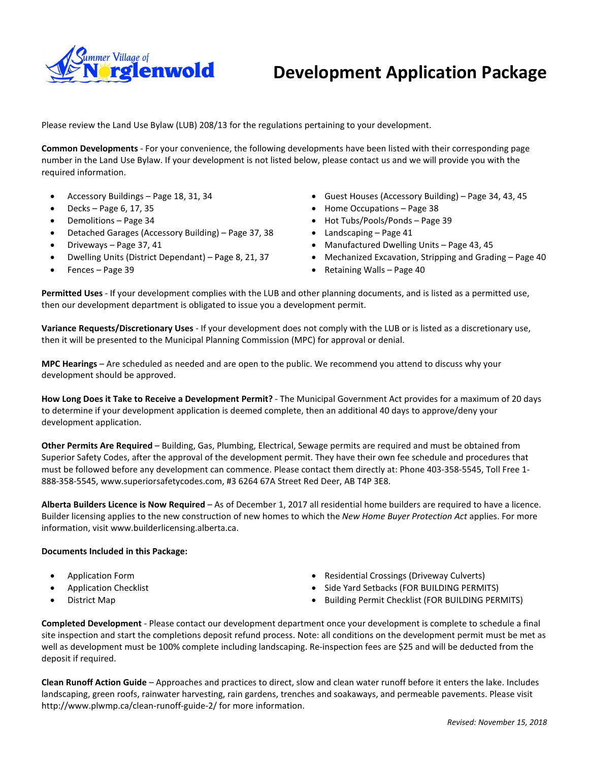

# **Development Application Package**

Please review the Land Use Bylaw (LUB) 208/13 for the regulations pertaining to your development.

**Common Developments** - For your convenience, the following developments have been listed with their corresponding page number in the Land Use Bylaw. If your development is not listed below, please contact us and we will provide you with the required information.

- Accessory Buildings Page 18, 31, 34
- $\bullet$  Decks Page 6, 17, 35
- Demolitions Page 34
- Detached Garages (Accessory Building) Page 37, 38
- Driveways Page 37, 41
- Dwelling Units (District Dependant) Page 8, 21, 37
- Fences Page 39
- Guest Houses (Accessory Building) Page 34, 43, 45
- Home Occupations Page 38
- Hot Tubs/Pools/Ponds Page 39
- Landscaping Page 41
- Manufactured Dwelling Units Page 43, 45
- Mechanized Excavation, Stripping and Grading Page 40
- Retaining Walls Page 40

**Permitted Uses** - If your development complies with the LUB and other planning documents, and is listed as a permitted use, then our development department is obligated to issue you a development permit.

**Variance Requests/Discretionary Uses** - If your development does not comply with the LUB or is listed as a discretionary use, then it will be presented to the Municipal Planning Commission (MPC) for approval or denial.

**MPC Hearings** – Are scheduled as needed and are open to the public. We recommend you attend to discuss why your development should be approved.

**How Long Does it Take to Receive a Development Permit?** - The Municipal Government Act provides for a maximum of 20 days to determine if your development application is deemed complete, then an additional 40 days to approve/deny your development application.

**Other Permits Are Required** – Building, Gas, Plumbing, Electrical, Sewage permits are required and must be obtained from Superior Safety Codes, after the approval of the development permit. They have their own fee schedule and procedures that must be followed before any development can commence. Please contact them directly at: Phone 403-358-5545, Toll Free 1- 888-358-5545, www.superiorsafetycodes.com, #3 6264 67A Street Red Deer, AB T4P 3E8.

**Alberta Builders Licence is Now Required** – As of December 1, 2017 all residential home builders are required to have a licence. Builder licensing applies to the new construction of new homes to which the *New Home Buyer Protection Act* applies. For more information, visit www.builderlicensing.alberta.ca.

### **Documents Included in this Package:**

- Application Form
- Application Checklist
- District Map
- Residential Crossings (Driveway Culverts)
- Side Yard Setbacks (FOR BUILDING PERMITS)
- Building Permit Checklist (FOR BUILDING PERMITS)

**Completed Development** - Please contact our development department once your development is complete to schedule a final site inspection and start the completions deposit refund process. Note: all conditions on the development permit must be met as well as development must be 100% complete including landscaping. Re-inspection fees are \$25 and will be deducted from the deposit if required.

**Clean Runoff Action Guide** – Approaches and practices to direct, slow and clean water runoff before it enters the lake. Includes landscaping, green roofs, rainwater harvesting, rain gardens, trenches and soakaways, and permeable pavements. Please visit http://www.plwmp.ca/clean-runoff-guide-2/ for more information.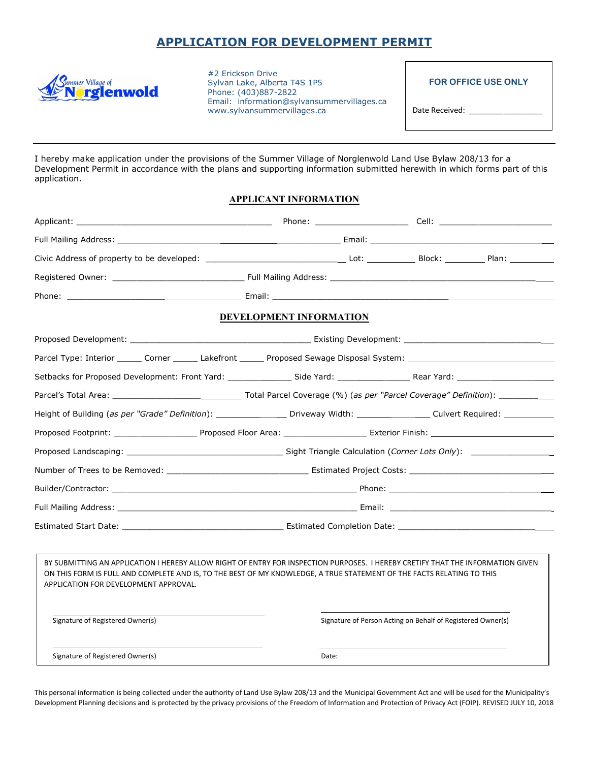## **APPLICATION FOR DEVELOPMENT PERMIT**



#2 Erickson Drive Sylvan Lake, Alberta T4S 1P5 Phone: (403)887-2822 Email: information@sylvansummervillages.ca [www.sylvansummervillages.ca](http://www.sylvansummervillages.ca/)

**FOR OFFICE USE ONLY**

Date Received: \_

I hereby make application under the provisions of the Summer Village of Norglenwold Land Use Bylaw 208/13 for a Development Permit in accordance with the plans and supporting information submitted herewith in which forms part of this application.

### **APPLICANT INFORMATION**

|                                                                                                                                                                                                                                                                                                   | DEVELOPMENT INFORMATION |                                                             |  |  |
|---------------------------------------------------------------------------------------------------------------------------------------------------------------------------------------------------------------------------------------------------------------------------------------------------|-------------------------|-------------------------------------------------------------|--|--|
|                                                                                                                                                                                                                                                                                                   |                         |                                                             |  |  |
| Parcel Type: Interior _______ Corner _______ Lakefront ______ Proposed Sewage Disposal System: _______________                                                                                                                                                                                    |                         |                                                             |  |  |
|                                                                                                                                                                                                                                                                                                   |                         |                                                             |  |  |
|                                                                                                                                                                                                                                                                                                   |                         |                                                             |  |  |
| Height of Building (as per "Grade" Definition): _______________________ Driveway Width: ______________________ Culvert Required: _______________________________                                                                                                                                  |                         |                                                             |  |  |
|                                                                                                                                                                                                                                                                                                   |                         |                                                             |  |  |
|                                                                                                                                                                                                                                                                                                   |                         |                                                             |  |  |
|                                                                                                                                                                                                                                                                                                   |                         |                                                             |  |  |
|                                                                                                                                                                                                                                                                                                   |                         |                                                             |  |  |
|                                                                                                                                                                                                                                                                                                   |                         |                                                             |  |  |
|                                                                                                                                                                                                                                                                                                   |                         |                                                             |  |  |
|                                                                                                                                                                                                                                                                                                   |                         |                                                             |  |  |
| BY SUBMITTING AN APPLICATION I HEREBY ALLOW RIGHT OF ENTRY FOR INSPECTION PURPOSES. I HEREBY CRETIFY THAT THE INFORMATION GIVEN<br>ON THIS FORM IS FULL AND COMPLETE AND IS, TO THE BEST OF MY KNOWLEDGE, A TRUE STATEMENT OF THE FACTS RELATING TO THIS<br>APPLICATION FOR DEVELOPMENT APPROVAL. |                         |                                                             |  |  |
| Signature of Registered Owner(s)                                                                                                                                                                                                                                                                  |                         | Signature of Person Acting on Behalf of Registered Owner(s) |  |  |
| Signature of Registered Owner(s)                                                                                                                                                                                                                                                                  |                         | Date:                                                       |  |  |

This personal information is being collected under the authority of Land Use Bylaw 208/13 and the Municipal Government Act and will be used for the Municipality's Development Planning decisions and is protected by the privacy provisions of the Freedom of Information and Protection of Privacy Act (FOIP). REVISED JULY 10, 2018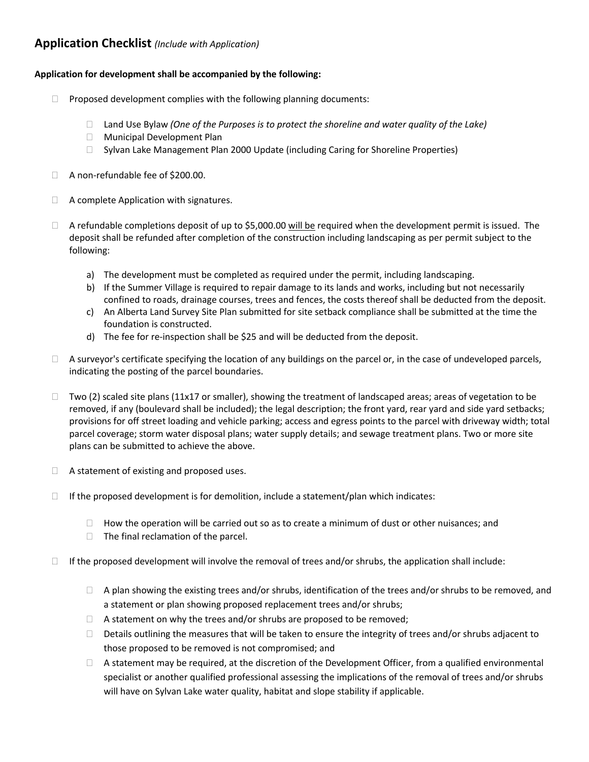## **Application Checklist** *(Include with Application)*

### **Application for development shall be accompanied by the following:**

- $\Box$  Proposed development complies with the following planning documents:
	- Land Use Bylaw *(One of the Purposes is to protect the shoreline and water quality of the Lake)*
	- **Nunicipal Development Plan**
	- $\Box$  Sylvan Lake Management Plan 2000 Update (including Caring for Shoreline Properties)
- □ A non-refundable fee of \$200.00.
- $\Box$  A complete Application with signatures.
- $\Box$  A refundable completions deposit of up to \$5,000.00 will be required when the development permit is issued. The deposit shall be refunded after completion of the construction including landscaping as per permit subject to the following:
	- a) The development must be completed as required under the permit, including landscaping.
	- b) If the Summer Village is required to repair damage to its lands and works, including but not necessarily confined to roads, drainage courses, trees and fences, the costs thereof shall be deducted from the deposit.
	- c) An Alberta Land Survey Site Plan submitted for site setback compliance shall be submitted at the time the foundation is constructed.
	- d) The fee for re-inspection shall be \$25 and will be deducted from the deposit.
- $\Box$  A surveyor's certificate specifying the location of any buildings on the parcel or, in the case of undeveloped parcels, indicating the posting of the parcel boundaries.
- $\Box$  Two (2) scaled site plans (11x17 or smaller), showing the treatment of landscaped areas; areas of vegetation to be removed, if any (boulevard shall be included); the legal description; the front yard, rear yard and side yard setbacks; provisions for off street loading and vehicle parking; access and egress points to the parcel with driveway width; total parcel coverage; storm water disposal plans; water supply details; and sewage treatment plans. Two or more site plans can be submitted to achieve the above.
- $\Box$  A statement of existing and proposed uses.
- $\Box$  If the proposed development is for demolition, include a statement/plan which indicates:
	- $\Box$  How the operation will be carried out so as to create a minimum of dust or other nuisances; and
	- $\Box$  The final reclamation of the parcel.
- $\Box$  If the proposed development will involve the removal of trees and/or shrubs, the application shall include:
	- $\Box$  A plan showing the existing trees and/or shrubs, identification of the trees and/or shrubs to be removed, and a statement or plan showing proposed replacement trees and/or shrubs;
	- $\Box$  A statement on why the trees and/or shrubs are proposed to be removed;
	- $\Box$  Details outlining the measures that will be taken to ensure the integrity of trees and/or shrubs adjacent to those proposed to be removed is not compromised; and
	- $\Box$  A statement may be required, at the discretion of the Development Officer, from a qualified environmental specialist or another qualified professional assessing the implications of the removal of trees and/or shrubs will have on Sylvan Lake water quality, habitat and slope stability if applicable.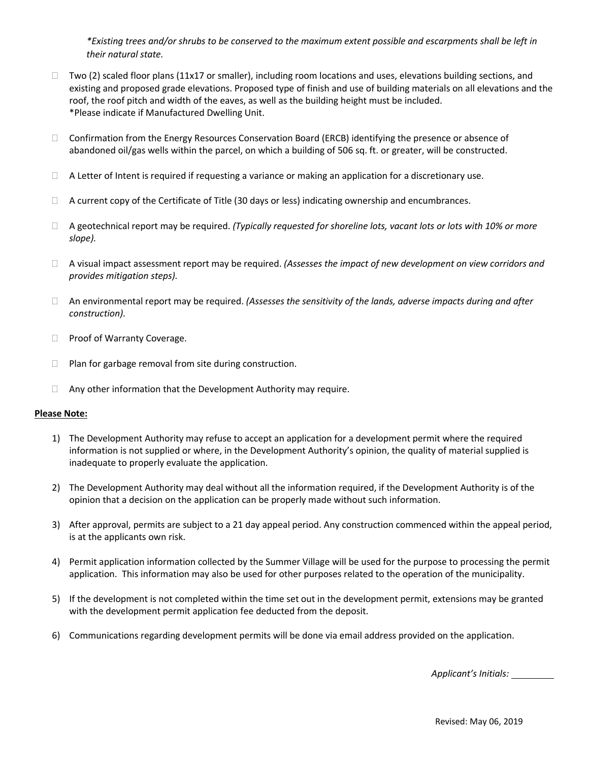*\*Existing trees and/or shrubs to be conserved to the maximum extent possible and escarpments shall be left in their natural state.* 

- $\Box$  Two (2) scaled floor plans (11x17 or smaller), including room locations and uses, elevations building sections, and existing and proposed grade elevations. Proposed type of finish and use of building materials on all elevations and the roof, the roof pitch and width of the eaves, as well as the building height must be included. \*Please indicate if Manufactured Dwelling Unit.
- □ Confirmation from the Energy Resources Conservation Board (ERCB) identifying the presence or absence of abandoned oil/gas wells within the parcel, on which a building of 506 sq. ft. or greater, will be constructed.
- $\Box$  A Letter of Intent is required if requesting a variance or making an application for a discretionary use.
- $\Box$  A current copy of the Certificate of Title (30 days or less) indicating ownership and encumbrances.
- A geotechnical report may be required. *(Typically requested for shoreline lots, vacant lots or lots with 10% or more slope).*
- A visual impact assessment report may be required. *(Assesses the impact of new development on view corridors and provides mitigation steps).*
- An environmental report may be required. *(Assesses the sensitivity of the lands, adverse impacts during and after construction).*
- □ Proof of Warranty Coverage.
- $\Box$  Plan for garbage removal from site during construction.
- $\Box$  Any other information that the Development Authority may require.

### **Please Note:**

- 1) The Development Authority may refuse to accept an application for a development permit where the required information is not supplied or where, in the Development Authority's opinion, the quality of material supplied is inadequate to properly evaluate the application.
- 2) The Development Authority may deal without all the information required, if the Development Authority is of the opinion that a decision on the application can be properly made without such information.
- 3) After approval, permits are subject to a 21 day appeal period. Any construction commenced within the appeal period, is at the applicants own risk.
- 4) Permit application information collected by the Summer Village will be used for the purpose to processing the permit application. This information may also be used for other purposes related to the operation of the municipality.
- 5) If the development is not completed within the time set out in the development permit, extensions may be granted with the development permit application fee deducted from the deposit.
- 6) Communications regarding development permits will be done via email address provided on the application.

 *Applicant's Initials:*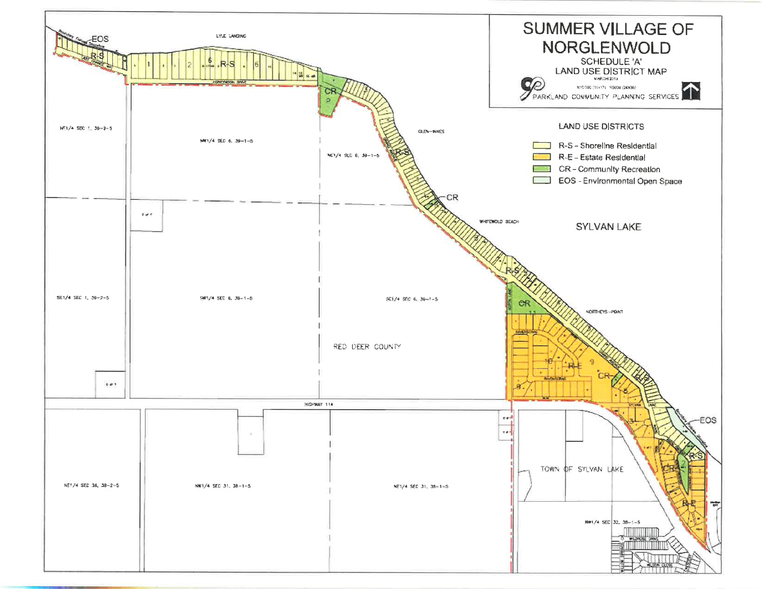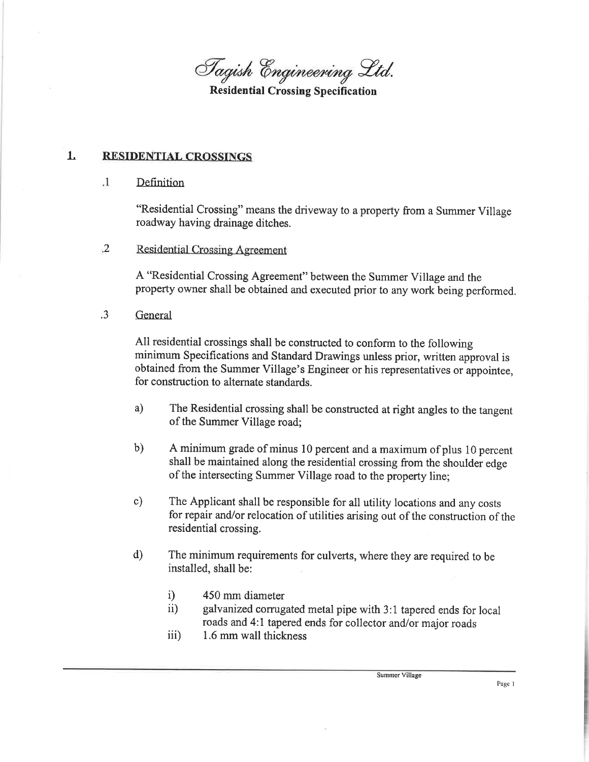Tagish Engineering Ltd.

**Residential Crossing Specification** 

#### $\mathbf{1}$ . **RESIDENTIAL CROSSINGS**

#### $\cdot$ 1. Definition

"Residential Crossing" means the driveway to a property from a Summer Village roadway having drainage ditches.

 $\ddot{2}$ **Residential Crossing Agreement** 

> A "Residential Crossing Agreement" between the Summer Village and the property owner shall be obtained and executed prior to any work being performed.

 $\cdot$ 3 General

> All residential crossings shall be constructed to conform to the following minimum Specifications and Standard Drawings unless prior, written approval is obtained from the Summer Village's Engineer or his representatives or appointee, for construction to alternate standards.

- $a)$ The Residential crossing shall be constructed at right angles to the tangent of the Summer Village road;
- $b)$ A minimum grade of minus 10 percent and a maximum of plus 10 percent shall be maintained along the residential crossing from the shoulder edge of the intersecting Summer Village road to the property line;
- The Applicant shall be responsible for all utility locations and any costs  $c)$ for repair and/or relocation of utilities arising out of the construction of the residential crossing.
- $\mathbf{d}$ The minimum requirements for culverts, where they are required to be installed, shall be:
	- $i)$ 450 mm diameter
	- $\ddot{\text{ii}}$ galvanized corrugated metal pipe with 3:1 tapered ends for local roads and 4:1 tapered ends for collector and/or major roads
	- 1.6 mm wall thickness iii)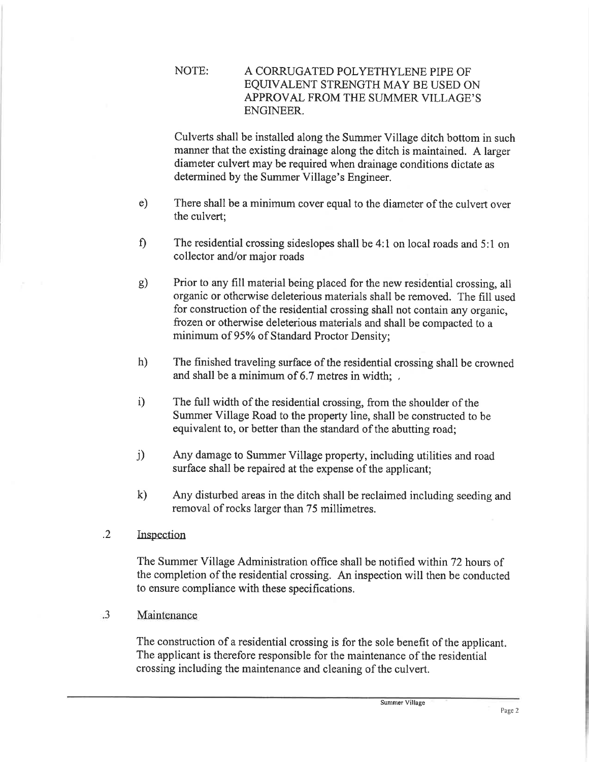### NOTE: A CORRUGATED POLYETHYLENE PIPE OF EQUIVALENT STRENGTH MAY BE USED ON APPROVAL FROM THE SUMMER VILLAGE'S **ENGINEER**

Culverts shall be installed along the Summer Village ditch bottom in such manner that the existing drainage along the ditch is maintained. A larger diameter culvert may be required when drainage conditions dictate as determined by the Summer Village's Engineer.

- $e)$ There shall be a minimum cover equal to the diameter of the culvert over the culvert:
- $\mathbf{f}$ The residential crossing sideslopes shall be 4:1 on local roads and 5:1 on collector and/or major roads
- Prior to any fill material being placed for the new residential crossing, all  $g)$ organic or otherwise deleterious materials shall be removed. The fill used for construction of the residential crossing shall not contain any organic. frozen or otherwise deleterious materials and shall be compacted to a minimum of 95% of Standard Proctor Density;
- $h)$ The finished traveling surface of the residential crossing shall be crowned and shall be a minimum of 6.7 metres in width;
- The full width of the residential crossing, from the shoulder of the  $i)$ Summer Village Road to the property line, shall be constructed to be equivalent to, or better than the standard of the abutting road;
- $j)$ Any damage to Summer Village property, including utilities and road surface shall be repaired at the expense of the applicant;
- $\mathbf{k}$ Any disturbed areas in the ditch shall be reclaimed including seeding and removal of rocks larger than 75 millimetres.
- $.2\phantom{0}$ Inspection

The Summer Village Administration office shall be notified within 72 hours of the completion of the residential crossing. An inspection will then be conducted to ensure compliance with these specifications.

 $\cdot$ 3 Maintenance

> The construction of a residential crossing is for the sole benefit of the applicant. The applicant is therefore responsible for the maintenance of the residential crossing including the maintenance and cleaning of the culvert.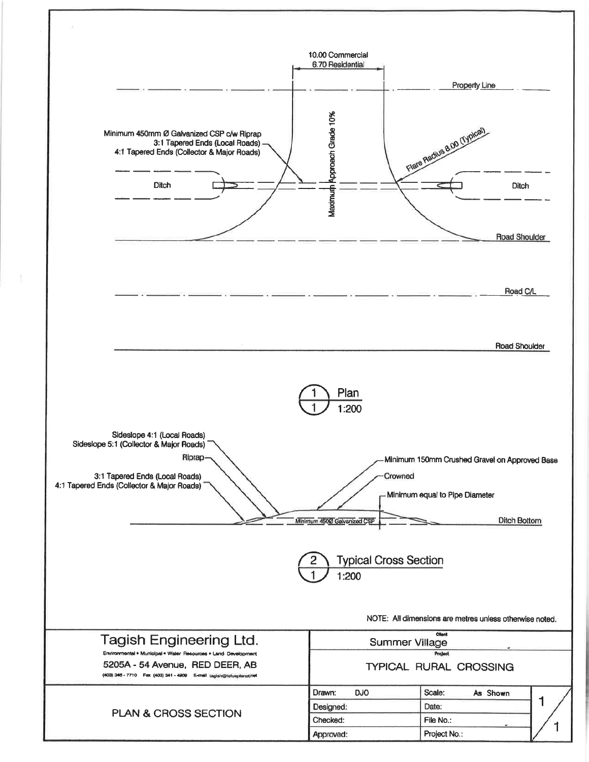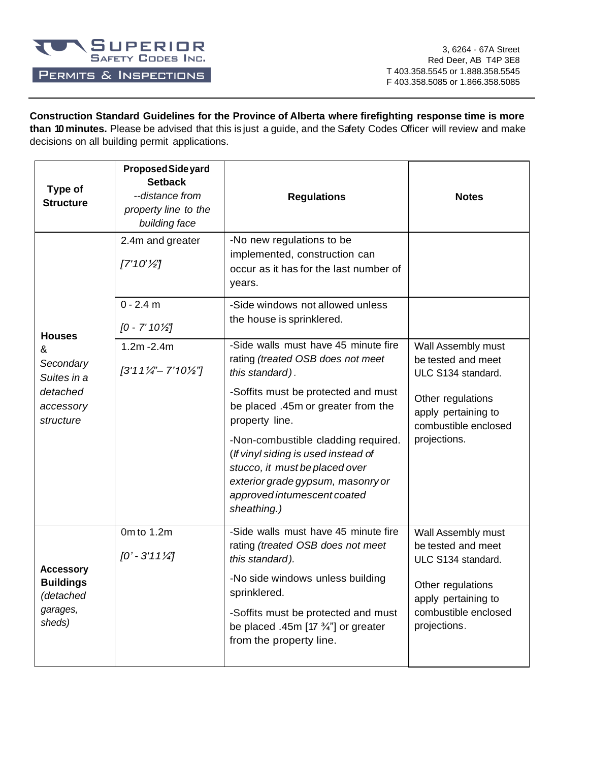

## PERMITS & INSPECTIONS

3, 6264 - 67A Street Red Deer, AB T4P 3E8 T 403.358.5545 or 1.888.358.5545 F 403.358.5085 or 1.866.358.5085

**Construction Standard Guidelines for the Province of Alberta where firefighting response time is more than 10 minutes.** Please be advised that this is just a guide, and the Safety Codes Officer will review and make decisions on all building permit applications.

| Type of<br><b>Structure</b>                                             | Proposed Side yard<br><b>Setback</b><br>--distance from<br>property line to the<br>building face | <b>Regulations</b>                                                                                                                                                                              | <b>Notes</b>                                                                     |  |
|-------------------------------------------------------------------------|--------------------------------------------------------------------------------------------------|-------------------------------------------------------------------------------------------------------------------------------------------------------------------------------------------------|----------------------------------------------------------------------------------|--|
|                                                                         | 2.4m and greater<br>$7'10'\frac{1}{2}$                                                           | -No new regulations to be<br>implemented, construction can<br>occur as it has for the last number of<br>years.                                                                                  |                                                                                  |  |
| <b>Houses</b>                                                           | $0 - 2.4$ m<br>$[0 - 7' 10\frac{1}{2}]$                                                          | -Side windows not allowed unless<br>the house is sprinklered.                                                                                                                                   |                                                                                  |  |
| &<br>Secondary<br>Suites in a                                           | $1.2m - 2.4m$<br>$[3'11'}/4" - 7'10'/4"]$                                                        | -Side walls must have 45 minute fire<br>rating (treated OSB does not meet<br>this standard).                                                                                                    | Wall Assembly must<br>be tested and meet<br>ULC S134 standard.                   |  |
| detached<br>accessory<br>structure                                      |                                                                                                  | -Soffits must be protected and must<br>be placed .45m or greater from the<br>property line.                                                                                                     | Other regulations<br>apply pertaining to<br>combustible enclosed                 |  |
|                                                                         |                                                                                                  | -Non-combustible cladding required.<br>(If vinyl siding is used instead of<br>stucco, it must be placed over<br>exterior grade gypsum, masonry or<br>approved intumescent coated<br>sheathing.) | projections.                                                                     |  |
|                                                                         | 0m to 1.2m<br>$[0' - 3'11\frac{1}{4}]$                                                           | -Side walls must have 45 minute fire<br>rating (treated OSB does not meet<br>this standard).                                                                                                    | Wall Assembly must<br>be tested and meet<br>ULC S134 standard.                   |  |
| <b>Accessory</b><br><b>Buildings</b><br>(detached<br>garages,<br>sheds) |                                                                                                  | -No side windows unless building<br>sprinklered.<br>-Soffits must be protected and must<br>be placed .45m [17 $\frac{3}{4}$ ] or greater<br>from the property line.                             | Other regulations<br>apply pertaining to<br>combustible enclosed<br>projections. |  |